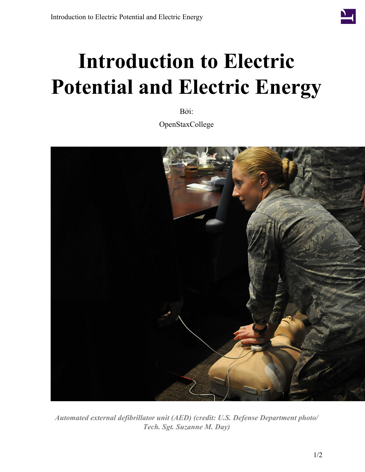

## **Introduction to Electric Potential and Electric Energy**

Bởi:

OpenStaxCollege



*Automated external defibrillator unit (AED) (credit: U.S. Defense Department photo/ Tech. Sgt. Suzanne M. Day)*